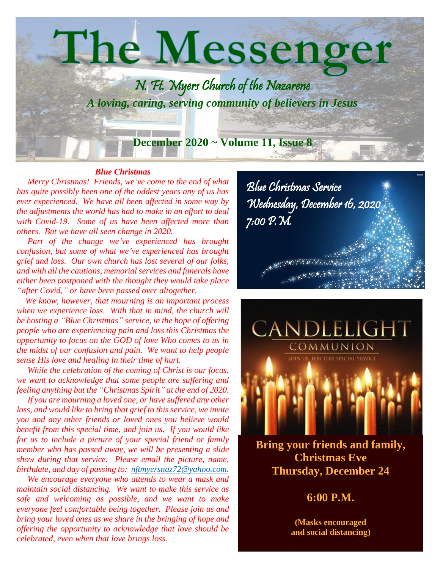

#### *Blue Christmas*

 *Merry Christmas! Friends, we've come to the end of what has quite possibly been one of the oddest years any of us has ever experienced. We have all been affected in some way by the adjustments the world has had to make in an effort to deal with Covid-19. Some of us have been affected more than others. But we have all seen change in 2020.*

 *Part of the change we've experienced has brought confusion, but some of what we've experienced has brought grief and loss. Our own church has lost several of our folks, and with all the cautions, memorial services and funerals have either been postponed with the thought they would take place "after Covid," or have been passed over altogether.*

 *We know, however, that mourning is an important process when we experience loss. With that in mind, the church will be hosting a "Blue Christmas" service, in the hope of offering people who are experiencing pain and loss this Christmas the opportunity to focus on the GOD of love Who comes to us in the midst of our confusion and pain. We want to help people sense His love and healing in their time of hurt.*

 *While the celebration of the coming of Christ is our focus, we want to acknowledge that some people are suffering and feeling anything but the "Christmas Spirit" at the end of 2020.*

 *If you are mourning a loved one, or have suffered any other loss, and would like to bring that grief to this service, we invite you and any other friends or loved ones you believe would benefit from this special time, and join us. If you would like for us to include a picture of your special friend or family member who has passed away, we will be presenting a slide show during that service. Please email the picture, name, birthdate, and day of passing to: [nftmyersnaz72@yahoo.com.](mailto:nftmyersnaz72@yahoo.com)*

 *We encourage everyone who attends to wear a mask and maintain social distancing. We want to make this service as safe and welcoming as possible, and we want to make everyone feel comfortable being together. Please join us and bring your loved ones as we share in the bringing of hope and offering the opportunity to acknowledge that love should be celebrated, even when that love brings loss.*

Blue Christmas Service Wednesday, December 16, 2020 7:00 P.M. e porta de la c 



**Bring your friends and family, Christmas Eve Thursday, December 24**

**6:00 P.M.**

**(Masks encouraged and social distancing)**